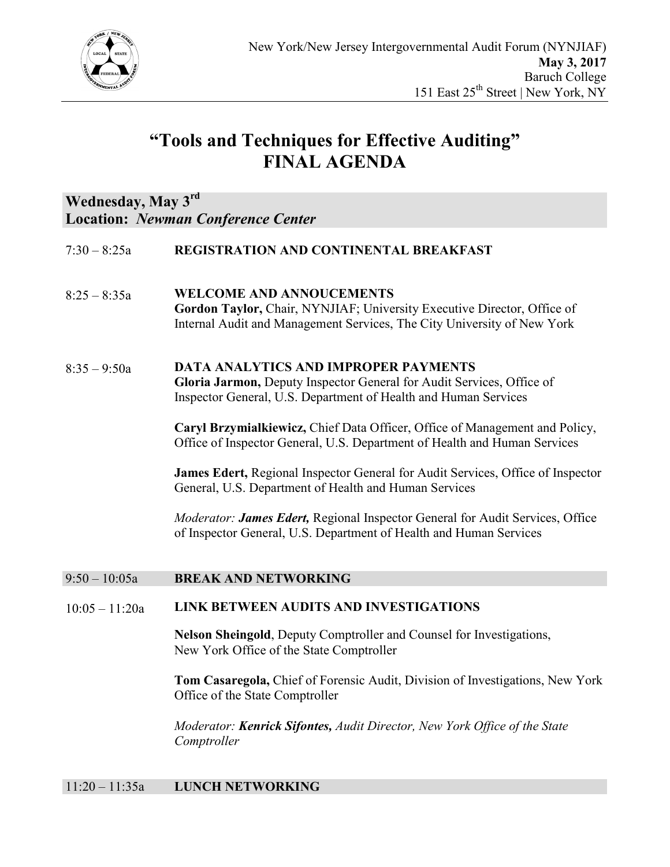

# **"Tools and Techniques for Effective Auditing" FINAL AGENDA**

## **Wednesday, May 3rd Location:** *Newman Conference Center*

- 7:30 8:25a **REGISTRATION AND CONTINENTAL BREAKFAST**
- 8:25 8:35a **WELCOME AND ANNOUCEMENTS Gordon Taylor,** Chair, NYNJIAF; University Executive Director, Office of Internal Audit and Management Services, The City University of New York
- 8:35 9:50a **DATA ANALYTICS AND IMPROPER PAYMENTS Gloria Jarmon,** Deputy Inspector General for Audit Services, Office of Inspector General, U.S. Department of Health and Human Services

**Caryl Brzymialkiewicz,** Chief Data Officer, Office of Management and Policy, Office of Inspector General, U.S. Department of Health and Human Services

**James Edert,** Regional Inspector General for Audit Services, Office of Inspector General, U.S. Department of Health and Human Services

*Moderator: James Edert,* Regional Inspector General for Audit Services, Office of Inspector General, U.S. Department of Health and Human Services

### 9:50 – 10:05a **BREAK AND NETWORKING**

#### 10:05 – 11:20a **LINK BETWEEN AUDITS AND INVESTIGATIONS**

**Nelson Sheingold**, Deputy Comptroller and Counsel for Investigations, New York Office of the State Comptroller

**Tom Casaregola,** Chief of Forensic Audit, Division of Investigations, New York Office of the State Comptroller

*Moderator: Kenrick Sifontes, Audit Director, New York Office of the State Comptroller*

### 11:20 – 11:35a **LUNCH NETWORKING**